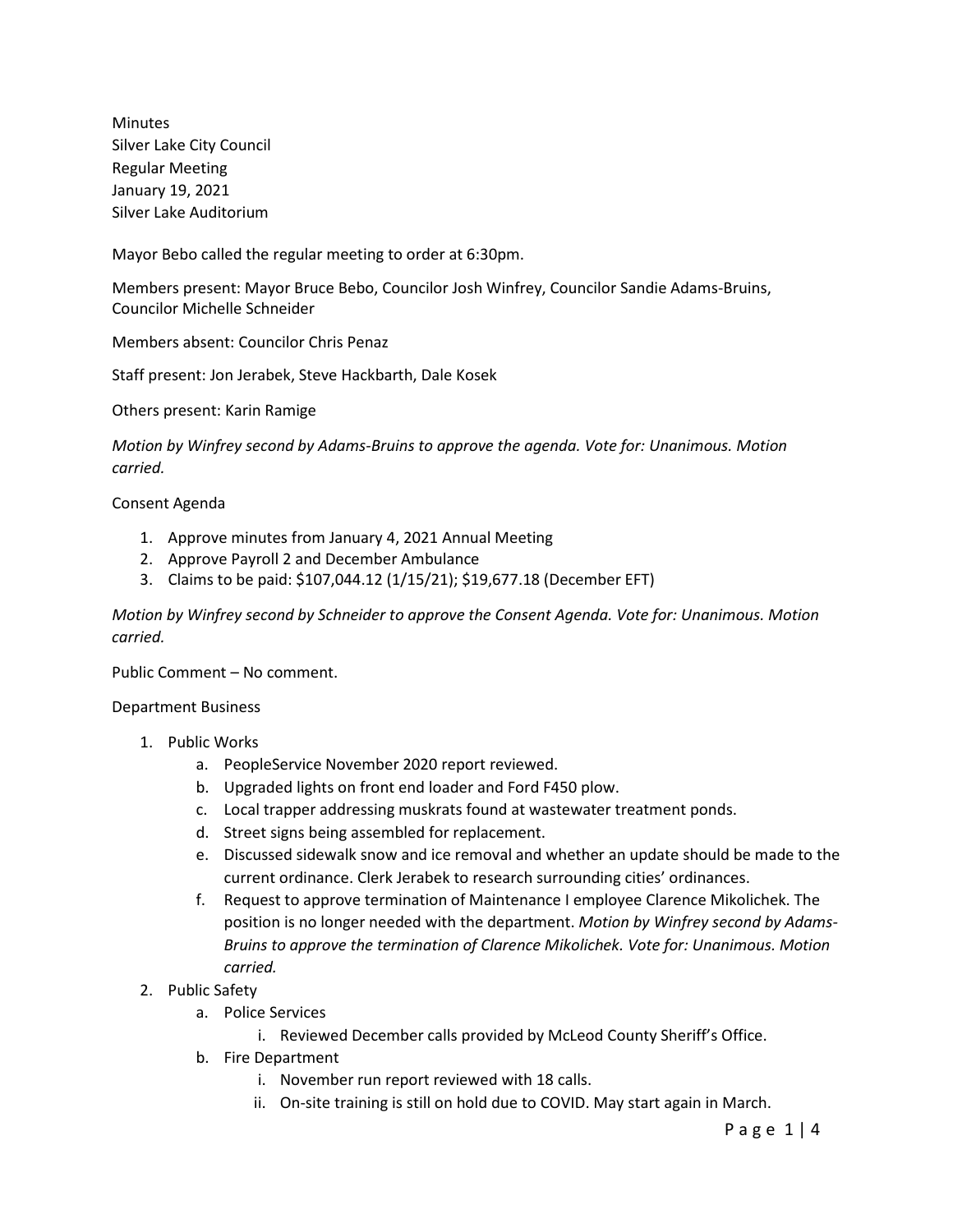Minutes Silver Lake City Council Regular Meeting January 19, 2021 Silver Lake Auditorium

Mayor Bebo called the regular meeting to order at 6:30pm.

Members present: Mayor Bruce Bebo, Councilor Josh Winfrey, Councilor Sandie Adams-Bruins, Councilor Michelle Schneider

Members absent: Councilor Chris Penaz

Staff present: Jon Jerabek, Steve Hackbarth, Dale Kosek

Others present: Karin Ramige

*Motion by Winfrey second by Adams-Bruins to approve the agenda. Vote for: Unanimous. Motion carried.*

Consent Agenda

- 1. Approve minutes from January 4, 2021 Annual Meeting
- 2. Approve Payroll 2 and December Ambulance
- 3. Claims to be paid: \$107,044.12 (1/15/21); \$19,677.18 (December EFT)

*Motion by Winfrey second by Schneider to approve the Consent Agenda. Vote for: Unanimous. Motion carried.*

Public Comment – No comment.

Department Business

- 1. Public Works
	- a. PeopleService November 2020 report reviewed.
	- b. Upgraded lights on front end loader and Ford F450 plow.
	- c. Local trapper addressing muskrats found at wastewater treatment ponds.
	- d. Street signs being assembled for replacement.
	- e. Discussed sidewalk snow and ice removal and whether an update should be made to the current ordinance. Clerk Jerabek to research surrounding cities' ordinances.
	- f. Request to approve termination of Maintenance I employee Clarence Mikolichek. The position is no longer needed with the department. *Motion by Winfrey second by Adams-Bruins to approve the termination of Clarence Mikolichek. Vote for: Unanimous. Motion carried.*
- 2. Public Safety
	- a. Police Services
		- i. Reviewed December calls provided by McLeod County Sheriff's Office.
	- b. Fire Department
		- i. November run report reviewed with 18 calls.
		- ii. On-site training is still on hold due to COVID. May start again in March.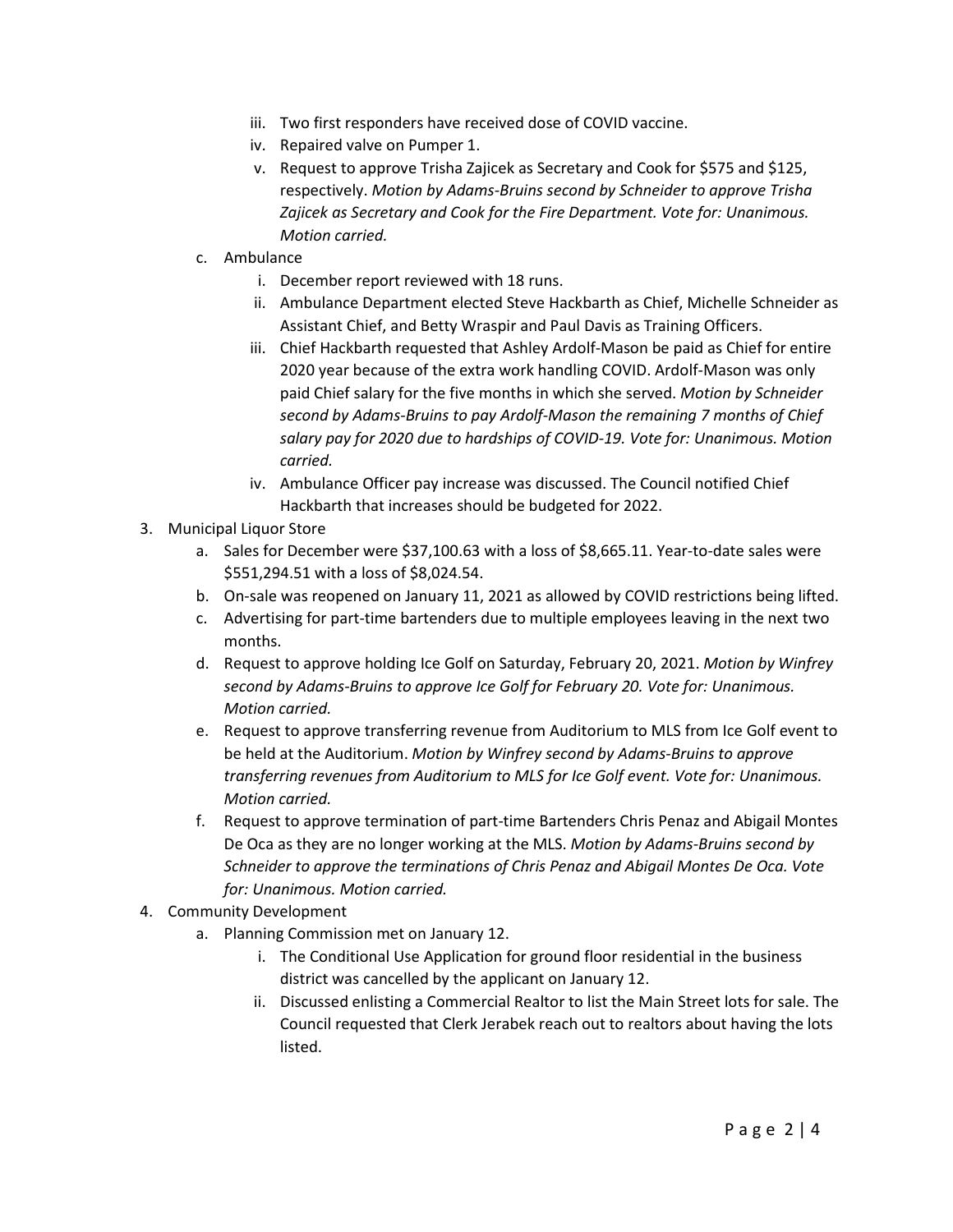- iii. Two first responders have received dose of COVID vaccine.
- iv. Repaired valve on Pumper 1.
- v. Request to approve Trisha Zajicek as Secretary and Cook for \$575 and \$125, respectively. *Motion by Adams-Bruins second by Schneider to approve Trisha Zajicek as Secretary and Cook for the Fire Department. Vote for: Unanimous. Motion carried.*
- c. Ambulance
	- i. December report reviewed with 18 runs.
	- ii. Ambulance Department elected Steve Hackbarth as Chief, Michelle Schneider as Assistant Chief, and Betty Wraspir and Paul Davis as Training Officers.
	- iii. Chief Hackbarth requested that Ashley Ardolf-Mason be paid as Chief for entire 2020 year because of the extra work handling COVID. Ardolf-Mason was only paid Chief salary for the five months in which she served. *Motion by Schneider second by Adams-Bruins to pay Ardolf-Mason the remaining 7 months of Chief salary pay for 2020 due to hardships of COVID-19. Vote for: Unanimous. Motion carried.*
	- iv. Ambulance Officer pay increase was discussed. The Council notified Chief Hackbarth that increases should be budgeted for 2022.
- 3. Municipal Liquor Store
	- a. Sales for December were \$37,100.63 with a loss of \$8,665.11. Year-to-date sales were \$551,294.51 with a loss of \$8,024.54.
	- b. On-sale was reopened on January 11, 2021 as allowed by COVID restrictions being lifted.
	- c. Advertising for part-time bartenders due to multiple employees leaving in the next two months.
	- d. Request to approve holding Ice Golf on Saturday, February 20, 2021. *Motion by Winfrey second by Adams-Bruins to approve Ice Golf for February 20. Vote for: Unanimous. Motion carried.*
	- e. Request to approve transferring revenue from Auditorium to MLS from Ice Golf event to be held at the Auditorium. *Motion by Winfrey second by Adams-Bruins to approve transferring revenues from Auditorium to MLS for Ice Golf event. Vote for: Unanimous. Motion carried.*
	- f. Request to approve termination of part-time Bartenders Chris Penaz and Abigail Montes De Oca as they are no longer working at the MLS. *Motion by Adams-Bruins second by Schneider to approve the terminations of Chris Penaz and Abigail Montes De Oca. Vote for: Unanimous. Motion carried.*
- 4. Community Development
	- a. Planning Commission met on January 12.
		- i. The Conditional Use Application for ground floor residential in the business district was cancelled by the applicant on January 12.
		- ii. Discussed enlisting a Commercial Realtor to list the Main Street lots for sale. The Council requested that Clerk Jerabek reach out to realtors about having the lots listed.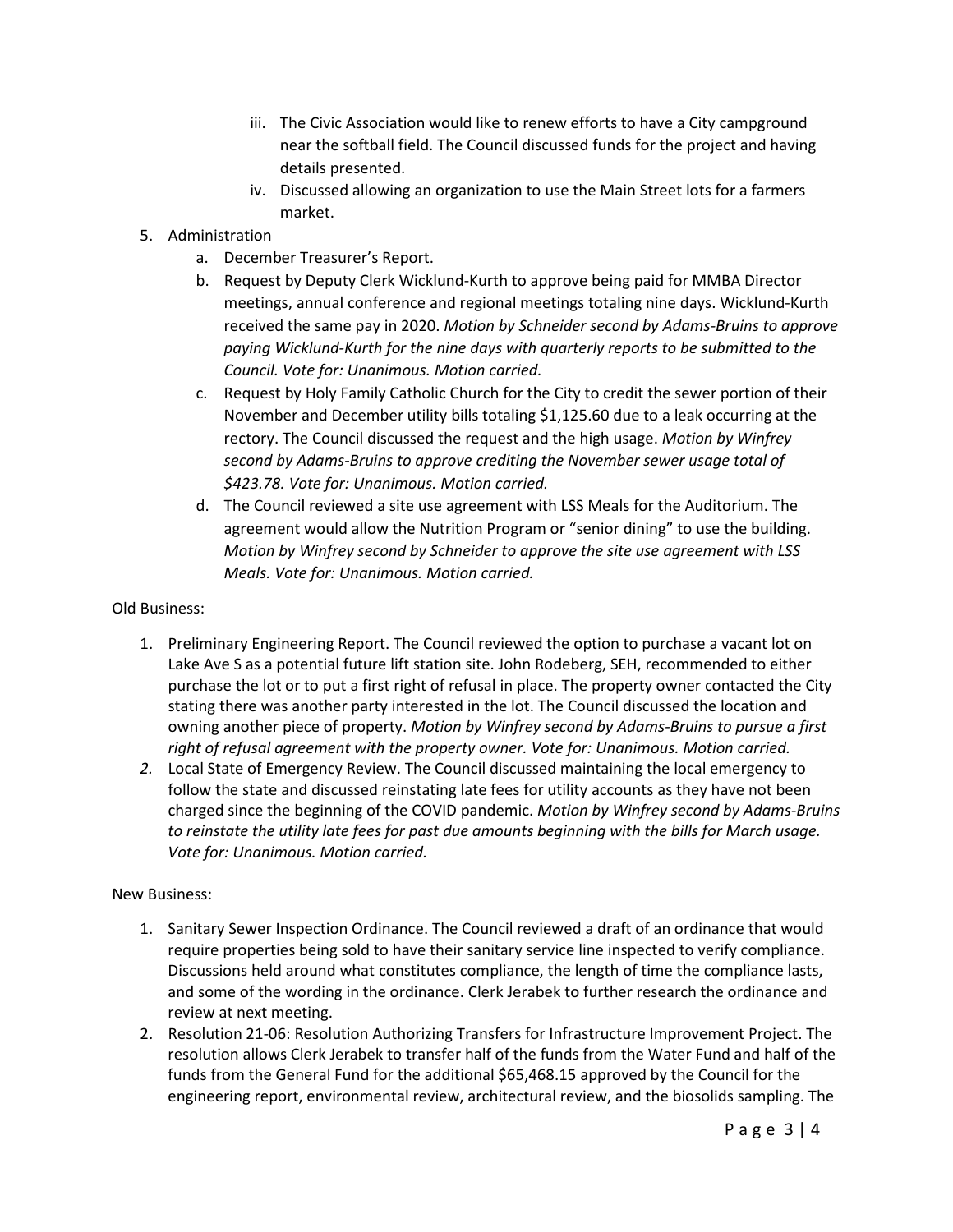- iii. The Civic Association would like to renew efforts to have a City campground near the softball field. The Council discussed funds for the project and having details presented.
- iv. Discussed allowing an organization to use the Main Street lots for a farmers market.
- 5. Administration
	- a. December Treasurer's Report.
	- b. Request by Deputy Clerk Wicklund-Kurth to approve being paid for MMBA Director meetings, annual conference and regional meetings totaling nine days. Wicklund-Kurth received the same pay in 2020. *Motion by Schneider second by Adams-Bruins to approve paying Wicklund-Kurth for the nine days with quarterly reports to be submitted to the Council. Vote for: Unanimous. Motion carried.*
	- c. Request by Holy Family Catholic Church for the City to credit the sewer portion of their November and December utility bills totaling \$1,125.60 due to a leak occurring at the rectory. The Council discussed the request and the high usage. *Motion by Winfrey second by Adams-Bruins to approve crediting the November sewer usage total of \$423.78. Vote for: Unanimous. Motion carried.*
	- d. The Council reviewed a site use agreement with LSS Meals for the Auditorium. The agreement would allow the Nutrition Program or "senior dining" to use the building. *Motion by Winfrey second by Schneider to approve the site use agreement with LSS Meals. Vote for: Unanimous. Motion carried.*

#### Old Business:

- 1. Preliminary Engineering Report. The Council reviewed the option to purchase a vacant lot on Lake Ave S as a potential future lift station site. John Rodeberg, SEH, recommended to either purchase the lot or to put a first right of refusal in place. The property owner contacted the City stating there was another party interested in the lot. The Council discussed the location and owning another piece of property. *Motion by Winfrey second by Adams-Bruins to pursue a first right of refusal agreement with the property owner. Vote for: Unanimous. Motion carried.*
- *2.* Local State of Emergency Review. The Council discussed maintaining the local emergency to follow the state and discussed reinstating late fees for utility accounts as they have not been charged since the beginning of the COVID pandemic. *Motion by Winfrey second by Adams-Bruins to reinstate the utility late fees for past due amounts beginning with the bills for March usage. Vote for: Unanimous. Motion carried.*

### New Business:

- 1. Sanitary Sewer Inspection Ordinance. The Council reviewed a draft of an ordinance that would require properties being sold to have their sanitary service line inspected to verify compliance. Discussions held around what constitutes compliance, the length of time the compliance lasts, and some of the wording in the ordinance. Clerk Jerabek to further research the ordinance and review at next meeting.
- 2. Resolution 21-06: Resolution Authorizing Transfers for Infrastructure Improvement Project. The resolution allows Clerk Jerabek to transfer half of the funds from the Water Fund and half of the funds from the General Fund for the additional \$65,468.15 approved by the Council for the engineering report, environmental review, architectural review, and the biosolids sampling. The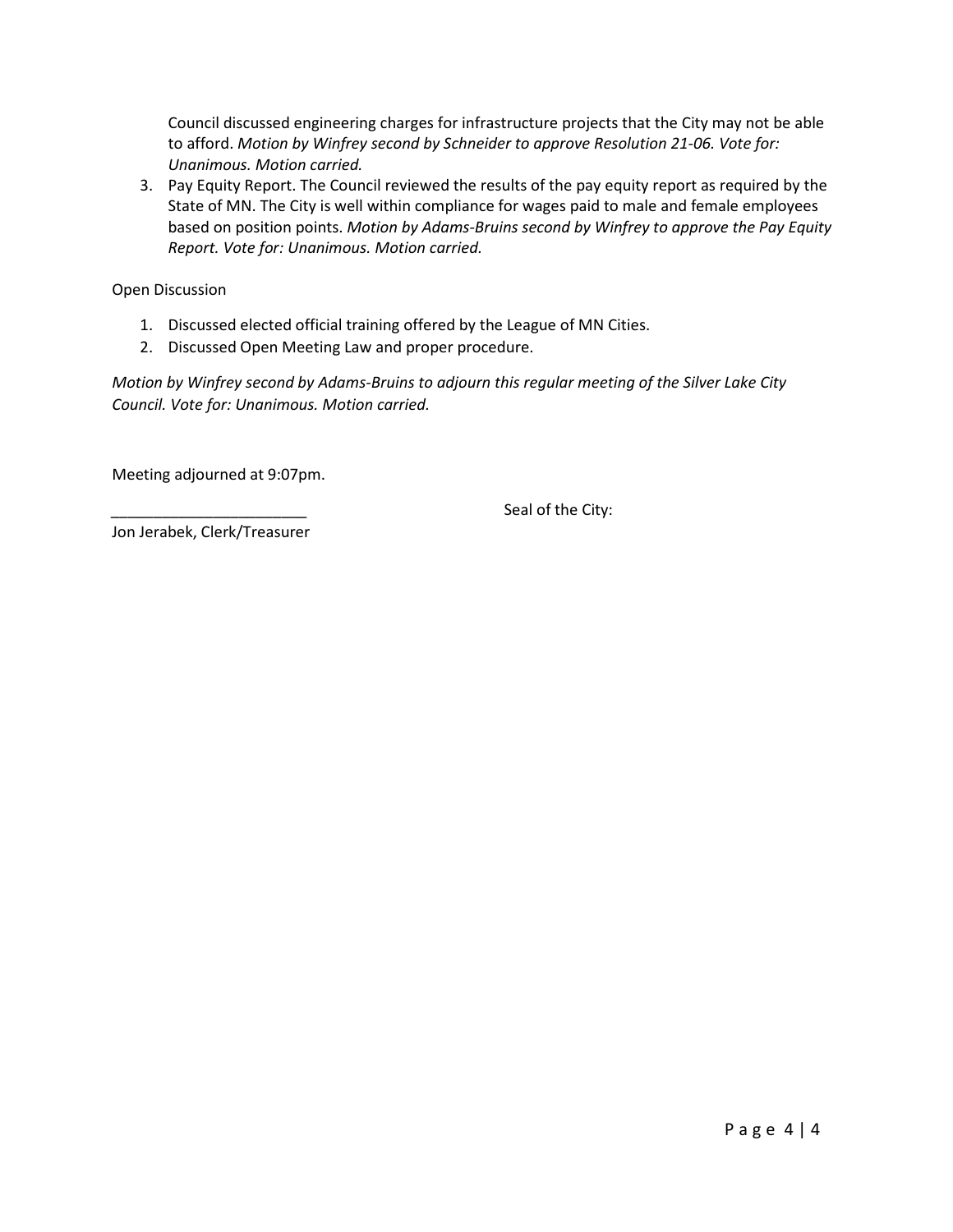Council discussed engineering charges for infrastructure projects that the City may not be able to afford. *Motion by Winfrey second by Schneider to approve Resolution 21-06. Vote for: Unanimous. Motion carried.*

3. Pay Equity Report. The Council reviewed the results of the pay equity report as required by the State of MN. The City is well within compliance for wages paid to male and female employees based on position points. *Motion by Adams-Bruins second by Winfrey to approve the Pay Equity Report. Vote for: Unanimous. Motion carried.*

Open Discussion

- 1. Discussed elected official training offered by the League of MN Cities.
- 2. Discussed Open Meeting Law and proper procedure.

*Motion by Winfrey second by Adams-Bruins to adjourn this regular meeting of the Silver Lake City Council. Vote for: Unanimous. Motion carried.*

Meeting adjourned at 9:07pm.

Seal of the City:

Jon Jerabek, Clerk/Treasurer